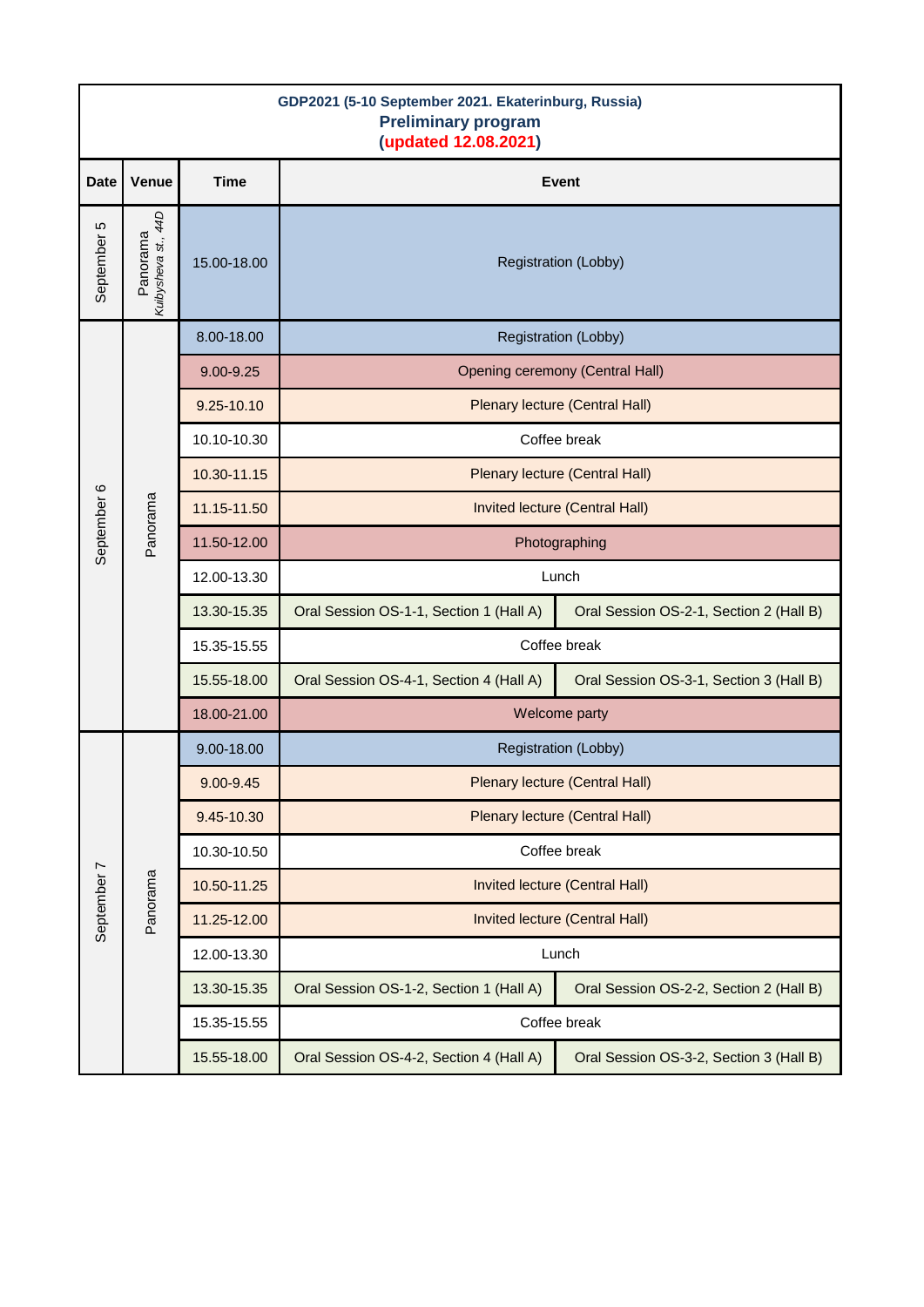| GDP2021 (5-10 September 2021. Ekaterinburg, Russia)<br><b>Preliminary program</b><br>(updated 12.08.2021) |                                 |             |                                         |                                         |  |  |  |
|-----------------------------------------------------------------------------------------------------------|---------------------------------|-------------|-----------------------------------------|-----------------------------------------|--|--|--|
| <b>Date</b>                                                                                               | Venue                           | <b>Time</b> | <b>Event</b>                            |                                         |  |  |  |
| September 5                                                                                               | Kuibysheva st., 44D<br>Panorama | 15.00-18.00 | <b>Registration (Lobby)</b>             |                                         |  |  |  |
| September 6                                                                                               | Panorama                        | 8.00-18.00  | <b>Registration (Lobby)</b>             |                                         |  |  |  |
|                                                                                                           |                                 | 9.00-9.25   | Opening ceremony (Central Hall)         |                                         |  |  |  |
|                                                                                                           |                                 | 9.25-10.10  | Plenary lecture (Central Hall)          |                                         |  |  |  |
|                                                                                                           |                                 | 10.10-10.30 | Coffee break                            |                                         |  |  |  |
|                                                                                                           |                                 | 10.30-11.15 | Plenary lecture (Central Hall)          |                                         |  |  |  |
|                                                                                                           |                                 | 11.15-11.50 | Invited lecture (Central Hall)          |                                         |  |  |  |
|                                                                                                           |                                 | 11.50-12.00 | Photographing                           |                                         |  |  |  |
|                                                                                                           |                                 | 12.00-13.30 | Lunch                                   |                                         |  |  |  |
|                                                                                                           |                                 | 13.30-15.35 | Oral Session OS-1-1, Section 1 (Hall A) | Oral Session OS-2-1, Section 2 (Hall B) |  |  |  |
|                                                                                                           |                                 | 15.35-15.55 | Coffee break                            |                                         |  |  |  |
|                                                                                                           |                                 | 15.55-18.00 | Oral Session OS-4-1, Section 4 (Hall A) | Oral Session OS-3-1, Section 3 (Hall B) |  |  |  |
|                                                                                                           |                                 | 18.00-21.00 | Welcome party                           |                                         |  |  |  |
| September 7                                                                                               | Panorama                        | 9.00-18.00  | <b>Registration (Lobby)</b>             |                                         |  |  |  |
|                                                                                                           |                                 | 9.00-9.45   | Plenary lecture (Central Hall)          |                                         |  |  |  |
|                                                                                                           |                                 | 9.45-10.30  | Plenary lecture (Central Hall)          |                                         |  |  |  |
|                                                                                                           |                                 | 10.30-10.50 | Coffee break                            |                                         |  |  |  |
|                                                                                                           |                                 | 10.50-11.25 | Invited lecture (Central Hall)          |                                         |  |  |  |
|                                                                                                           |                                 | 11.25-12.00 | Invited lecture (Central Hall)          |                                         |  |  |  |
|                                                                                                           |                                 | 12.00-13.30 | Lunch                                   |                                         |  |  |  |
|                                                                                                           |                                 | 13.30-15.35 | Oral Session OS-1-2, Section 1 (Hall A) | Oral Session OS-2-2, Section 2 (Hall B) |  |  |  |
|                                                                                                           |                                 | 15.35-15.55 | Coffee break                            |                                         |  |  |  |
|                                                                                                           |                                 | 15.55-18.00 | Oral Session OS-4-2, Section 4 (Hall A) | Oral Session OS-3-2, Section 3 (Hall B) |  |  |  |